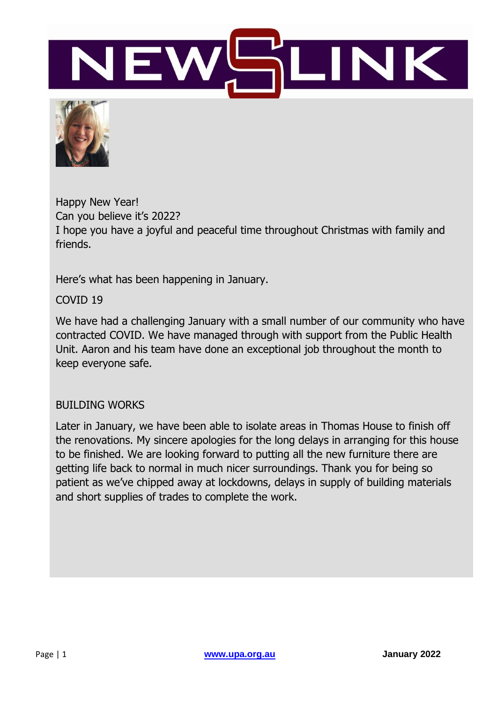



Happy New Year! Can you believe it's 2022? I hope you have a joyful and peaceful time throughout Christmas with family and friends.

Here's what has been happening in January.

COVID 19

We have had a challenging January with a small number of our community who have contracted COVID. We have managed through with support from the Public Health Unit. Aaron and his team have done an exceptional job throughout the month to keep everyone safe.

#### BUILDING WORKS

Later in January, we have been able to isolate areas in Thomas House to finish off the renovations. My sincere apologies for the long delays in arranging for this house to be finished. We are looking forward to putting all the new furniture there are getting life back to normal in much nicer surroundings. Thank you for being so patient as we've chipped away at lockdowns, delays in supply of building materials and short supplies of trades to complete the work.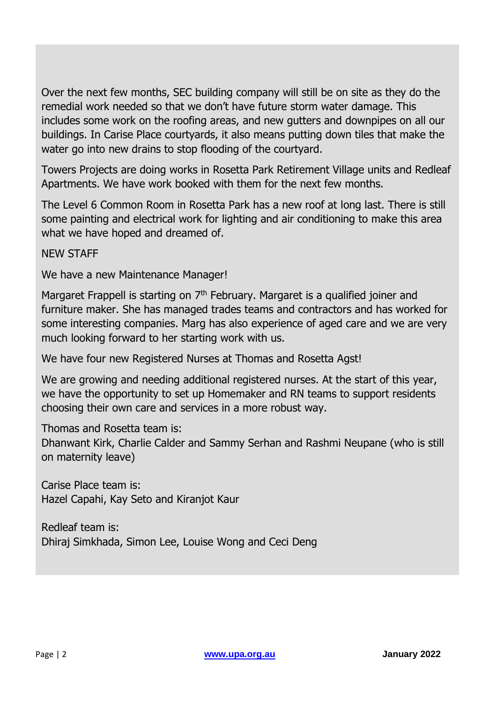Over the next few months, SEC building company will still be on site as they do the remedial work needed so that we don't have future storm water damage. This includes some work on the roofing areas, and new gutters and downpipes on all our buildings. In Carise Place courtyards, it also means putting down tiles that make the water go into new drains to stop flooding of the courtyard.

Towers Projects are doing works in Rosetta Park Retirement Village units and Redleaf Apartments. We have work booked with them for the next few months.

The Level 6 Common Room in Rosetta Park has a new roof at long last. There is still some painting and electrical work for lighting and air conditioning to make this area what we have hoped and dreamed of.

NEW STAFF

We have a new Maintenance Manager!

Margaret Frappell is starting on  $7<sup>th</sup>$  February. Margaret is a qualified joiner and furniture maker. She has managed trades teams and contractors and has worked for some interesting companies. Marg has also experience of aged care and we are very much looking forward to her starting work with us.

We have four new Registered Nurses at Thomas and Rosetta Agst!

We are growing and needing additional registered nurses. At the start of this year, we have the opportunity to set up Homemaker and RN teams to support residents choosing their own care and services in a more robust way.

Thomas and Rosetta team is:

Dhanwant Kirk, Charlie Calder and Sammy Serhan and Rashmi Neupane (who is still on maternity leave)

Carise Place team is: Hazel Capahi, Kay Seto and Kiranjot Kaur

Redleaf team is: Dhiraj Simkhada, Simon Lee, Louise Wong and Ceci Deng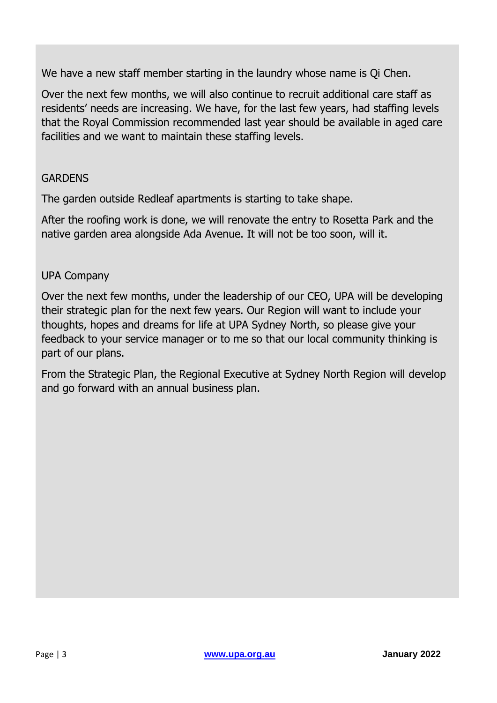We have a new staff member starting in the laundry whose name is Qi Chen.

Over the next few months, we will also continue to recruit additional care staff as residents' needs are increasing. We have, for the last few years, had staffing levels that the Royal Commission recommended last year should be available in aged care facilities and we want to maintain these staffing levels.

#### GARDENS

The garden outside Redleaf apartments is starting to take shape.

After the roofing work is done, we will renovate the entry to Rosetta Park and the native garden area alongside Ada Avenue. It will not be too soon, will it.

#### UPA Company

Over the next few months, under the leadership of our CEO, UPA will be developing their strategic plan for the next few years. Our Region will want to include your thoughts, hopes and dreams for life at UPA Sydney North, so please give your feedback to your service manager or to me so that our local community thinking is part of our plans.

From the Strategic Plan, the Regional Executive at Sydney North Region will develop and go forward with an annual business plan.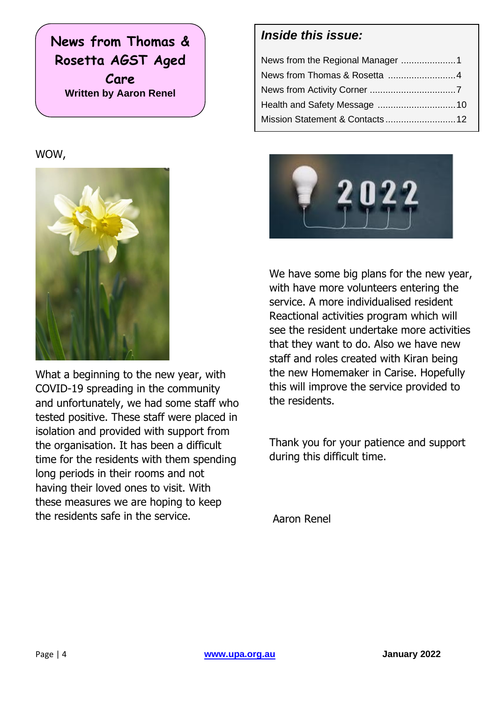**News from Thomas & Rosetta AGST Aged Care Written by Aaron Renel**

#### WOW,



What a beginning to the new year, with COVID-19 spreading in the community and unfortunately, we had some staff who tested positive. These staff were placed in isolation and provided with support from the organisation. It has been a difficult time for the residents with them spending long periods in their rooms and not having their loved ones to visit. With these measures we are hoping to keep the residents safe in the service.

#### *Inside this issue:*



We have some big plans for the new year, with have more volunteers entering the service. A more individualised resident Reactional activities program which will see the resident undertake more activities that they want to do. Also we have new staff and roles created with Kiran being the new Homemaker in Carise. Hopefully this will improve the service provided to the residents.

Thank you for your patience and support during this difficult time.

Aaron Renel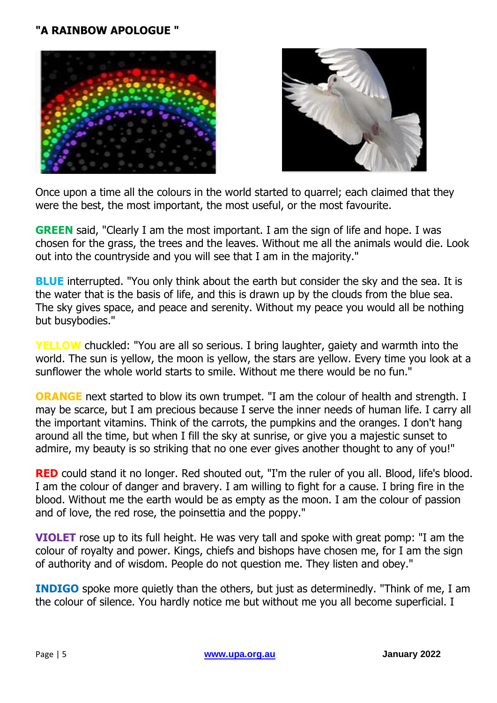#### **"A RAINBOW APOLOGUE "**





Once upon a time all the colours in the world started to quarrel; each claimed that they were the best, the most important, the most useful, or the most favourite.

**GREEN** said, "Clearly I am the most important. I am the sign of life and hope. I was chosen for the grass, the trees and the leaves. Without me all the animals would die. Look out into the countryside and you will see that I am in the majority."

**BLUE** interrupted. "You only think about the earth but consider the sky and the sea. It is the water that is the basis of life, and this is drawn up by the clouds from the blue sea. The sky gives space, and peace and serenity. Without my peace you would all be nothing but busybodies."

**YELLOW** chuckled: "You are all so serious. I bring laughter, gaiety and warmth into the world. The sun is yellow, the moon is yellow, the stars are yellow. Every time you look at a sunflower the whole world starts to smile. Without me there would be no fun."

**ORANGE** next started to blow its own trumpet. "I am the colour of health and strength. I may be scarce, but I am precious because I serve the inner needs of human life. I carry all the important vitamins. Think of the carrots, the pumpkins and the oranges. I don't hang around all the time, but when I fill the sky at sunrise, or give you a majestic sunset to admire, my beauty is so striking that no one ever gives another thought to any of you!"

**RED** could stand it no longer. Red shouted out, "I'm the ruler of you all. Blood, life's blood. I am the colour of danger and bravery. I am willing to fight for a cause. I bring fire in the blood. Without me the earth would be as empty as the moon. I am the colour of passion and of love, the red rose, the poinsettia and the poppy."

**VIOLET** rose up to its full height. He was very tall and spoke with great pomp: "I am the colour of royalty and power. Kings, chiefs and bishops have chosen me, for I am the sign of authority and of wisdom. People do not question me. They listen and obey."

**INDIGO** spoke more quietly than the others, but just as determinedly. "Think of me, I am the colour of silence. You hardly notice me but without me you all become superficial. I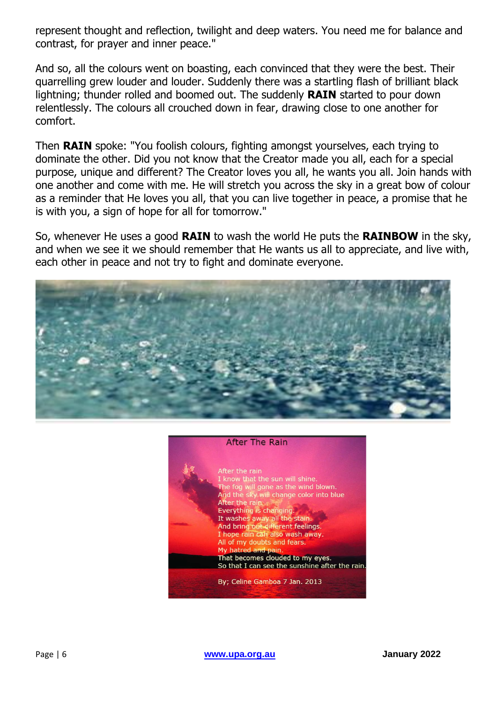represent thought and reflection, twilight and deep waters. You need me for balance and contrast, for prayer and inner peace."

And so, all the colours went on boasting, each convinced that they were the best. Their quarrelling grew louder and louder. Suddenly there was a startling flash of brilliant black lightning; thunder rolled and boomed out. The suddenly **RAIN** started to pour down relentlessly. The colours all crouched down in fear, drawing close to one another for comfort.

Then **RAIN** spoke: "You foolish colours, fighting amongst yourselves, each trying to dominate the other. Did you not know that the Creator made you all, each for a special purpose, unique and different? The Creator loves you all, he wants you all. Join hands with one another and come with me. He will stretch you across the sky in a great bow of colour as a reminder that He loves you all, that you can live together in peace, a promise that he is with you, a sign of hope for all for tomorrow."

So, whenever He uses a good **RAIN** to wash the world He puts the **RAINBOW** in the sky, and when we see it we should remember that He wants us all to appreciate, and live with, each other in peace and not try to fight and dominate everyone.





Page | 6 **[www.upa.org.au](http://www.upa.org.au/) January 2022**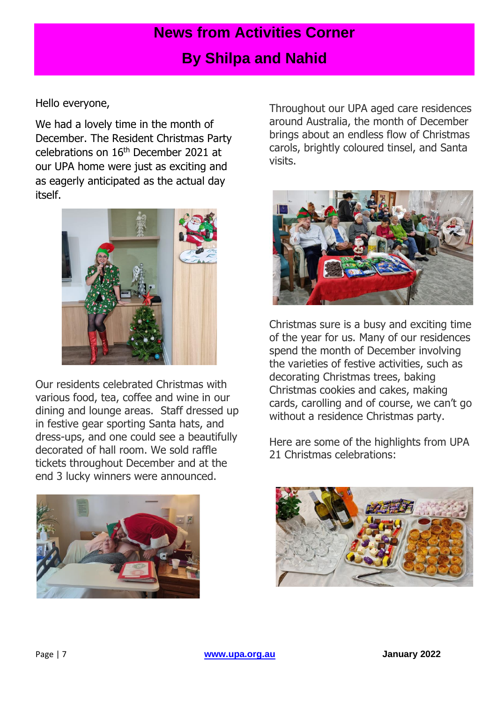## **News from Activities Corner**

## **By Shilpa and Nahid**

Hello everyone,

We had a lovely time in the month of December. The Resident Christmas Party celebrations on 16th December 2021 at our UPA home were just as exciting and as eagerly anticipated as the actual day itself.



Our residents celebrated Christmas with various food, tea, coffee and wine in our dining and lounge areas. Staff dressed up in festive gear sporting Santa hats, and dress-ups, and one could see a beautifully decorated of hall room. We sold raffle tickets throughout December and at the end 3 lucky winners were announced.

![](_page_6_Picture_6.jpeg)

Throughout our UPA aged care residences around Australia, the month of December brings about an endless flow of Christmas carols, brightly coloured tinsel, and Santa visits.

![](_page_6_Picture_8.jpeg)

Christmas sure is a busy and exciting time of the year for us. Many of our residences spend the month of December involving the varieties of festive activities, such as decorating Christmas trees, baking Christmas cookies and cakes, making cards, carolling and of course, we can't go without a residence Christmas party.

Here are some of the highlights from UPA 21 Christmas celebrations:

![](_page_6_Picture_11.jpeg)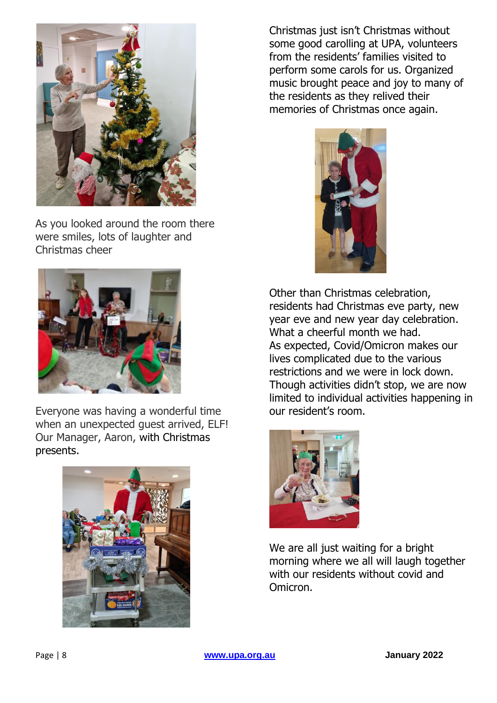![](_page_7_Picture_0.jpeg)

As you looked around the room there were smiles, lots of laughter and Christmas cheer

![](_page_7_Picture_2.jpeg)

Everyone was having a wonderful time when an unexpected guest arrived, ELF! Our Manager, Aaron, with Christmas presents.

![](_page_7_Picture_4.jpeg)

Christmas just isn't Christmas without some good carolling at UPA, volunteers from the residents' families visited to perform some carols for us. Organized music brought peace and joy to many of the residents as they relived their memories of Christmas once again.

![](_page_7_Picture_6.jpeg)

Other than Christmas celebration, residents had Christmas eve party, new year eve and new year day celebration. What a cheerful month we had. As expected, Covid/Omicron makes our lives complicated due to the various restrictions and we were in lock down. Though activities didn't stop, we are now limited to individual activities happening in our resident's room.

![](_page_7_Picture_8.jpeg)

We are all just waiting for a bright morning where we all will laugh together with our residents without covid and Omicron.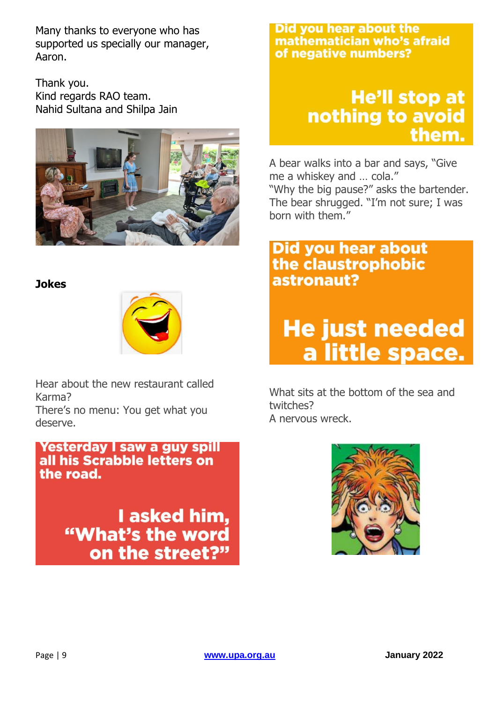Many thanks to everyone who has supported us specially our manager, Aaron.

Thank you. Kind regards RAO team. Nahid Sultana and Shilpa Jain

![](_page_8_Picture_2.jpeg)

#### **Jokes**

![](_page_8_Picture_4.jpeg)

Hear about the new restaurant called Karma?

There's no menu: You get what you deserve.

Yesterday I saw a guy spill all his Scrabble letters on the road.

> I asked him, "What's the word on the street?"

#### Did you hear about the mathematician who's afraid of negative numbers?

# **He'll stop at** nothing to avoid them.

A bear walks into a bar and says, "Give me a whiskey and … cola."

"Why the big pause?" asks the bartender. The bear shrugged. "I'm not sure; I was born with them."

# **Did you hear about** the claustrophobic astronaut?

# **He just needed** a little space.

What sits at the bottom of the sea and twitches? A nervous wreck.

![](_page_8_Picture_16.jpeg)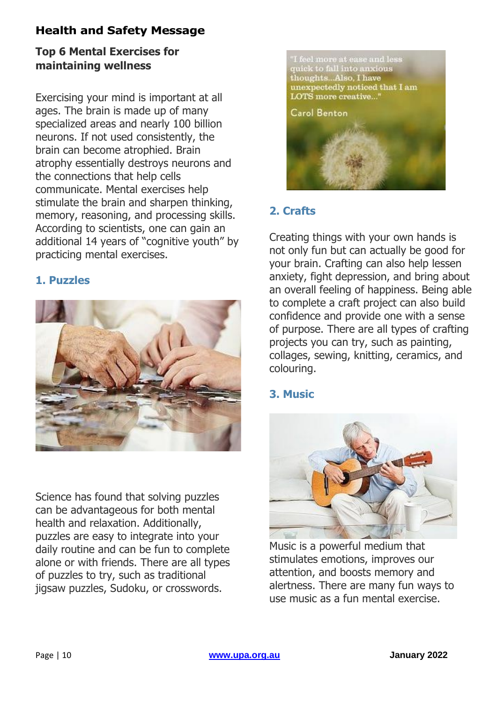#### **Health and Safety Message**

#### **Top 6 Mental Exercises for maintaining wellness**

Exercising your mind is important at all ages. The brain is made up of many specialized areas and nearly 100 billion neurons. If not used consistently, the brain can become atrophied. Brain atrophy essentially destroys neurons and the connections that help cells communicate. Mental exercises help stimulate the brain and sharpen thinking, memory, reasoning, and processing skills. According to scientists, one can gain an additional 14 years of "cognitive youth" by practicing mental exercises.

#### **1. Puzzles**

![](_page_9_Picture_4.jpeg)

Science has found that solving puzzles can be advantageous for both mental health and relaxation. Additionally, puzzles are easy to integrate into your daily routine and can be fun to complete alone or with friends. There are all types of puzzles to try, such as traditional jigsaw puzzles, Sudoku, or crosswords.

![](_page_9_Picture_6.jpeg)

#### **2. Crafts**

Creating things with your own hands is not only fun but can actually be good for your brain. Crafting can also help lessen anxiety, fight depression, and bring about an overall feeling of happiness. Being able to complete a craft project can also build confidence and provide one with a sense of purpose. There are all types of crafting projects you can try, such as painting, collages, sewing, knitting, ceramics, and colouring.

#### **3. Music**

![](_page_9_Picture_10.jpeg)

Music is a powerful medium that stimulates emotions, improves our attention, and boosts memory and alertness. There are many fun ways to use music as a fun mental exercise.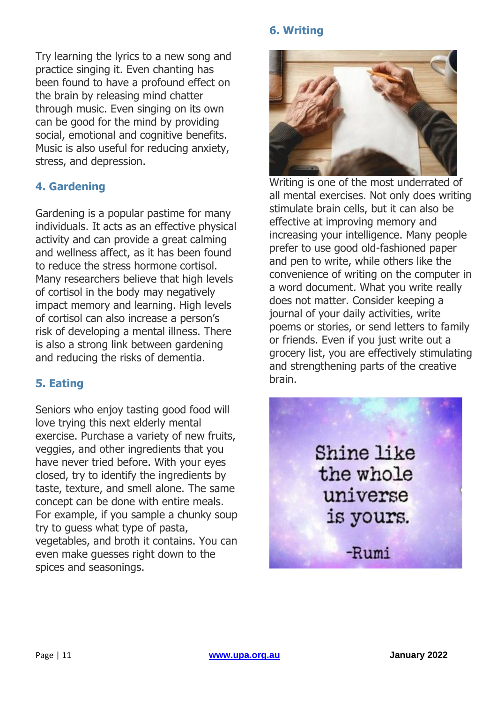Try learning the lyrics to a new song and practice singing it. Even chanting has been found to have a profound effect on the brain by releasing mind chatter through music. Even singing on its own can be good for the mind by providing social, emotional and cognitive benefits. Music is also useful for reducing anxiety, stress, and depression.

#### **4. Gardening**

Gardening is a popular pastime for many individuals. It acts as an effective physical activity and can provide a great calming and wellness affect, as it has been found to reduce the stress hormone cortisol. Many researchers believe that high levels of cortisol in the body may negatively impact memory and learning. High levels of cortisol can also increase a person's risk of developing a mental illness. There is also a strong link between gardening and reducing the risks of dementia.

#### **5. Eating**

Seniors who enjoy tasting good food will love trying this next elderly mental exercise. Purchase a variety of new fruits, veggies, and other ingredients that you have never tried before. With your eyes closed, try to identify the ingredients by taste, texture, and smell alone. The same concept can be done with entire meals. For example, if you sample a chunky soup try to guess what type of pasta, vegetables, and broth it contains. You can even make guesses right down to the spices and seasonings.

#### **6. Writing**

![](_page_10_Picture_6.jpeg)

Writing is one of the most underrated of all mental exercises. Not only does writing stimulate brain cells, but it can also be effective at improving memory and increasing your intelligence. Many people prefer to use good old-fashioned paper and pen to write, while others like the convenience of writing on the computer in a word document. What you write really does not matter. Consider keeping a journal of your daily activities, write poems or stories, or send letters to family or friends. Even if you just write out a grocery list, you are effectively stimulating and strengthening parts of the creative brain.

![](_page_10_Picture_8.jpeg)